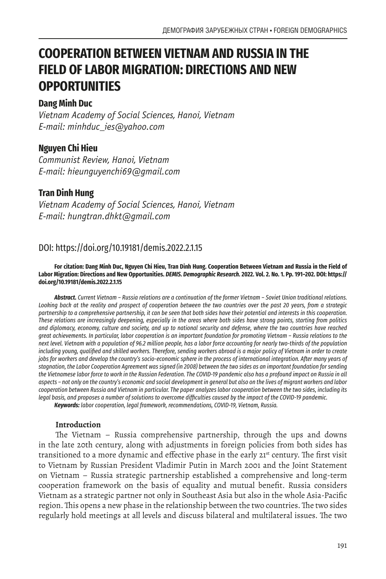# **COOPERATION BETWEEN VIETNAM AND RUSSIA IN THE FIELD OF LABOR MIGRATION: DIRECTIONS AND NEW OPPORTUNITIES**

# **Dang Minh Duc**

*Vietnam Academy of Social Sciences, Hanoi, Vietnam E-mail: minhduc\_ies@yahoo.com*

# **Nguyen Chi Hieu**

*Communist Review, Hanoi, Vietnam E-mail: hieunguyenchi69@gmail.com*

# **Tran Dinh Hung**

*Vietnam Academy of Social Sciences, Hanoi, Vietnam E-mail: hungtran.dhkt@gmail.com*

# DOI: https://doi.org/10.19181/demis.2022.2.1.15

#### **For citation: Dang Minh Duc, Nguyen Chi Hieu, Tran Dinh Hung. Cooperation Between Vietnam and Russia in the Field of Labor Migration: Directions and New Opportunities.** *DEMIS. Demographic Research.* **2022. Vol. 2. No. 1. Pp. 191–202. DOI: https:// doi.org/10.19181/demis.2022.2.1.15**

*Abstract. Current Vietnam – Russia relations are a continuation of the former Vietnam – Soviet Union traditional relations. Looking back at the reality and prospect of cooperation between the two countries over the past 20 years, from a strategic partnership to a comprehensive partnership, it can be seen that both sides have their potential and interests in this cooperation. These relations are increasingly deepening, especially in the areas where both sides have strong points, starting from politics and diplomacy, economy, culture and society, and up to national security and defense, where the two countries have reached great achievements. In particular, labor cooperation is an important foundation for promoting Vietnam – Russia relations to the next level. Vietnam with a population of 96.2 million people, has a labor force accounting for nearly two-thirds of the population including young, qualified and skilled workers. Therefore, sending workers abroad is a major policy of Vietnam in order to create jobs for workers and develop the country's socio-economic sphere in the process of international integration. After many years of stagnation, the Labor Cooperation Agreement was signed (in 2008) between the two sides as an important foundation for sending the Vietnamese labor force to work in the Russian Federation. The COVID-19 pandemic also has a profound impact on Russia in all aspects – not only on the country's economic and social development in general but also on the lives of migrant workers and labor cooperation between Russia and Vietnam in particular. The paper analyzes labor cooperation between the two sides, including its legal basis, and proposes a number of solutions to overcome difficulties caused by the impact of the COVID-19 pandemic.*

*Keywords: labor cooperation, legal framework, recommendations, COVID-19, Vietnam, Russia.*

# **Introduction**

The Vietnam – Russia comprehensive partnership, through the ups and downs in the late 20th century, along with adjustments in foreign policies from both sides has transitioned to a more dynamic and effective phase in the early 21<sup>st</sup> century. The first visit to Vietnam by Russian President Vladimir Putin in March 2001 and the Joint Statement on Vietnam – Russia strategic partnership established a comprehensive and long-term cooperation framework on the basis of equality and mutual benefit. Russia considers Vietnam as a strategic partner not only in Southeast Asia but also in the whole Asia-Pacific region. This opens a new phase in the relationship between the two countries. The two sides regularly hold meetings at all levels and discuss bilateral and multilateral issues. The two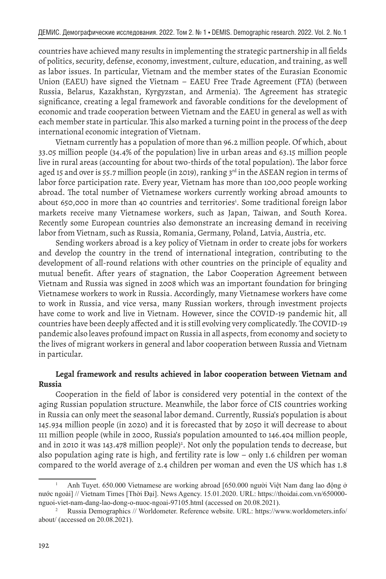countries have achieved many results in implementing the strategic partnership in all fields of politics, security, defense, economy, investment, culture, education, and training, as well as labor issues. In particular, Vietnam and the member states of the Eurasian Economic Union (EAEU) have signed the Vietnam – EAEU Free Trade Agreement (FTA) (between Russia, Belarus, Kazakhstan, Kyrgyzstan, and Armenia). The Agreement has strategic significance, creating a legal framework and favorable conditions for the development of economic and trade cooperation between Vietnam and the EAEU in general as well as with each member state in particular. This also marked a turning point in the process of the deep international economic integration of Vietnam.

Vietnam currently has a population of more than 96.2 million people. Of which, about 33.05 million people (34.4% of the population) live in urban areas and 63.15 million people live in rural areas (accounting for about two-thirds of the total population). The labor force aged 15 and over is 55.7 million people (in 2019), ranking 3rd in the ASEAN region in terms of labor force participation rate. Every year, Vietnam has more than 100,000 people working abroad. The total number of Vietnamese workers currently working abroad amounts to about 650,000 in more than 40 countries and territories<sup>1</sup>. Some traditional foreign labor markets receive many Vietnamese workers, such as Japan, Taiwan, and South Korea. Recently some European countries also demonstrate an increasing demand in receiving labor from Vietnam, such as Russia, Romania, Germany, Poland, Latvia, Austria, etc.

Sending workers abroad is a key policy of Vietnam in order to create jobs for workers and develop the country in the trend of international integration, contributing to the development of all-round relations with other countries on the principle of equality and mutual benefit. After years of stagnation, the Labor Cooperation Agreement between Vietnam and Russia was signed in 2008 which was an important foundation for bringing Vietnamese workers to work in Russia. Accordingly, many Vietnamese workers have come to work in Russia, and vice versa, many Russian workers, through investment projects have come to work and live in Vietnam. However, since the COVID-19 pandemic hit, all countries have been deeply affected and it is still evolving very complicatedly. The COVID-19 pandemic also leaves profound impact on Russia in all aspects, from economy and society to the lives of migrant workers in general and labor cooperation between Russia and Vietnam in particular.

## **Legal framework and results achieved in labor cooperation between Vietnam and Russia**

Cooperation in the field of labor is considered very potential in the context of the aging Russian population structure. Meanwhile, the labor force of CIS countries working in Russia can only meet the seasonal labor demand. Currently, Russia's population is about 145.934 million people (in 2020) and it is forecasted that by 2050 it will decrease to about 111 million people (while in 2000, Russia's population amounted to 146.404 million people, and in 2010 it was 143.478 million people)<sup>2</sup>. Not only the population tends to decrease, but also population aging rate is high, and fertility rate is low – only 1.6 children per woman compared to the world average of 2.4 children per woman and even the US which has 1.8

<sup>1</sup> Anh Tuyet. 650.000 Vietnamese are working abroad [650.000 người Việt Nam đang lao động ở nước ngoài] // Vietnam Times [Thời Đại]. News Agency. 15.01.2020. URL: https://thoidai.com.vn/650000 nguoi-viet-nam-dang-lao-dong-o-nuoc-ngoai-97105.html (accessed on 20.08.2021).

<sup>2</sup> Russia Demographics // Worldometer. Reference website. URL: https://www.worldometers.info/ about/ (accessed on 20.08.2021).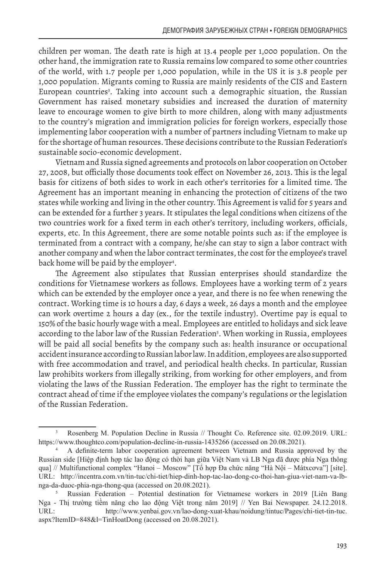children per woman. The death rate is high at 13.4 people per 1,000 population. On the other hand, the immigration rate to Russia remains low compared to some other countries of the world, with 1.7 people per 1,000 population, while in the US it is 3.8 people per 1,000 population. Migrants coming to Russia are mainly residents of the CIS and Eastern European countries<sup>3</sup>. Taking into account such a demographic situation, the Russian Government has raised monetary subsidies and increased the duration of maternity leave to encourage women to give birth to more children, along with many adjustments to the country's migration and immigration policies for foreign workers, especially those implementing labor cooperation with a number of partners including Vietnam to make up for the shortage of human resources. These decisions contribute to the Russian Federation's sustainable socio-economic development.

Vietnam and Russia signed agreements and protocols on labor cooperation on October 27, 2008, but officially those documents took effect on November 26, 2013. This is the legal basis for citizens of both sides to work in each other's territories for a limited time. The Agreement has an important meaning in enhancing the protection of citizens of the two states while working and living in the other country. This Agreement is valid for 5 years and can be extended for a further 3 years. It stipulates the legal conditions when citizens of the two countries work for a fixed term in each other's territory, including workers, officials, experts, etc. In this Agreement, there are some notable points such as: if the employee is terminated from a contract with a company, he/she can stay to sign a labor contract with another company and when the labor contract terminates, the cost for the employee's travel back home will be paid by the employer4 .

The Agreement also stipulates that Russian enterprises should standardize the conditions for Vietnamese workers as follows. Employees have a working term of 2 years which can be extended by the employer once a year, and there is no fee when renewing the contract. Working time is 10 hours a day, 6 days a week, 26 days a month and the employee can work overtime 2 hours a day (ex., for the textile industry). Overtime pay is equal to 150% of the basic hourly wage with a meal. Employees are entitled to holidays and sick leave according to the labor law of the Russian Federation<sup>5</sup>. When working in Russia, employees will be paid all social benefits by the company such as: health insurance or occupational accident insurance according to Russian labor law. In addition, employees are also supported with free accommodation and travel, and periodical health checks. In particular, Russian law prohibits workers from illegally striking, from working for other employers, and from violating the laws of the Russian Federation. The employer has the right to terminate the contract ahead of time if the employee violates the company's regulations or the legislation of the Russian Federation.

<sup>3</sup> Rosenberg M. Population Decline in Russia // Thought Co. Reference site. 02.09.2019. URL: https://www.thoughtco.com/population-decline-in-russia-1435266 (accessed on 20.08.2021).

<sup>4</sup> A definite-term labor cooperation agreement between Vietnam and Russia approved by the Russian side [Hiệp định hợp tác lao động có thời hạn giữa Việt Nam và LB Nga đã được phía Nga thông qua] // Multifunctional complex "Hanoi – Moscow" [Tổ hợp Đa chức năng "Hà Nội – Mátxcova"] [site]. URL: http://incentra.com.vn/tin-tuc/chi-tiet/hiep-dinh-hop-tac-lao-dong-co-thoi-han-giua-viet-nam-va-lbnga-da-duoc-phia-nga-thong-qua (accessed on 20.08.2021).

<sup>5</sup> Russian Federation – Potential destination for Vietnamese workers in 2019 [Liên Bang Nga - Thị trường tiềm năng cho lao động Việt trong năm 2019] // Yen Bai Newspaper. 24.12.2018. URL: http://www.yenbai.gov.vn/lao-dong-xuat-khau/noidung/tintuc/Pages/chi-tiet-tin-tuc. aspx?ItemID=848&l=TinHoatDong (accessed on 20.08.2021).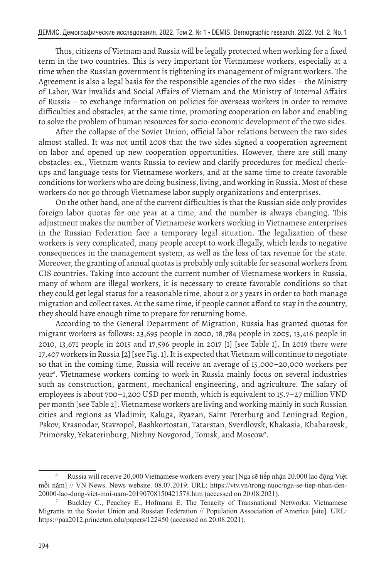Thus, citizens of Vietnam and Russia will be legally protected when working for a fixed term in the two countries. This is very important for Vietnamese workers, especially at a time when the Russian government is tightening its management of migrant workers. The Agreement is also a legal basis for the responsible agencies of the two sides – the Ministry of Labor, War invalids and Social Affairs of Vietnam and the Ministry of Internal Affairs of Russia – to exchange information on policies for overseas workers in order to remove difficulties and obstacles, at the same time, promoting cooperation on labor and enabling to solve the problem of human resources for socio-economic development of the two sides.

After the collapse of the Soviet Union, official labor relations between the two sides almost stalled. It was not until 2008 that the two sides signed a cooperation agreement on labor and opened up new cooperation opportunities. However, there are still many obstacles: ex., Vietnam wants Russia to review and clarify procedures for medical checkups and language tests for Vietnamese workers, and at the same time to create favorable conditions for workers who are doing business, living, and working in Russia. Most of these workers do not go through Vietnamese labor supply organizations and enterprises.

On the other hand, one of the current difficulties is that the Russian side only provides foreign labor quotas for one year at a time, and the number is always changing. This adjustment makes the number of Vietnamese workers working in Vietnamese enterprises in the Russian Federation face a temporary legal situation. The legalization of these workers is very complicated, many people accept to work illegally, which leads to negative consequences in the management system, as well as the loss of tax revenue for the state. Moreover, the granting of annual quotas is probably only suitable for seasonal workers from CIS countries. Taking into account the current number of Vietnamese workers in Russia, many of whom are illegal workers, it is necessary to create favorable conditions so that they could get legal status for a reasonable time, about 2 or 3 years in order to both manage migration and collect taxes. At the same time, if people cannot afford to stay in the country, they should have enough time to prepare for returning home.

According to the General Department of Migration, Russia has granted quotas for migrant workers as follows: 23,695 people in 2000, 18,784 people in 2005, 13,416 people in 2010, 13,671 people in 2015 and 17,596 people in 2017 [1] [see Table 1]. In 2019 there were 17,407 workers in Russia [2] [see Fig. 1]. It is expected that Vietnam will continue to negotiate so that in the coming time, Russia will receive an average of 15,000–20,000 workers per year6 . Vietnamese workers coming to work in Russia mainly focus on several industries such as construction, garment, mechanical engineering, and agriculture. The salary of employees is about 700–1,200 USD per month, which is equivalent to 15.7–27 million VND per month [see Table 2]. Vietnamese workers are living and working mainly in such Russian cities and regions as Vladimir, Kaluga, Ryazan, Saint Peterburg and Leningrad Region, Pskov, Krasnodar, Stavropol, Bashkortostan, Tatarstan, Sverdlovsk, Khakasia, Khabarovsk, Primorsky, Yekaterinburg, Nizhny Novgorod, Tomsk, and Moscow<sup>7</sup>.

<sup>6</sup> Russia will receive 20,000 Vietnamese workers every year [Nga sẽ tiếp nhận 20.000 lao động Việt mỗi năm] // VN News. News website. 08.07.2019. URL: https://vtv.vn/trong-nuoc/nga-se-tiep-nhan-den-20000-lao-dong-viet-moi-nam-20190708150421578.htm (accessed on 20.08.2021).

<sup>7</sup> Buckley C., Peachey E., Hofmann E. The Tenacity of Transnational Networks: Vietnamese Migrants in the Soviet Union and Russian Federation // Population Association of America [site]. URL: https://paa2012.princeton.edu/papers/122450 (accessed on 20.08.2021).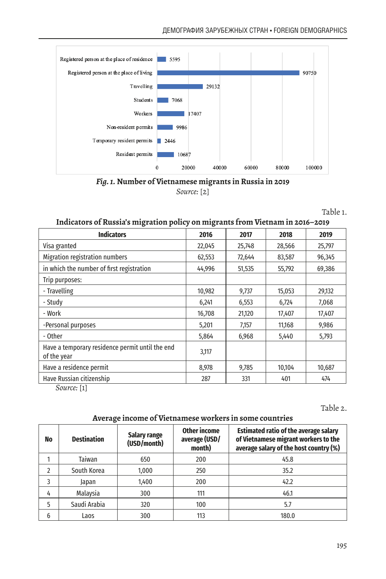

*Fig. 1.* **Number of Vietnamese migrants in Russia in 2019** *Source:* [2]

Table 1.

#### **Indicators of Russia's migration policy on migrants from Vietnam in 2016–2019**

| <b>Indicators</b>                                              | 2016   | 2017   | 2018   | 2019   |
|----------------------------------------------------------------|--------|--------|--------|--------|
| Visa granted                                                   | 22,045 | 25,748 | 28,566 | 25,797 |
| Migration registration numbers                                 | 62,553 | 72,644 | 83,587 | 96,345 |
| in which the number of first registration                      | 44,996 | 51,535 | 55,792 | 69,386 |
| Trip purposes:                                                 |        |        |        |        |
| - Travelling                                                   | 10,982 | 9,737  | 15,053 | 29,132 |
| - Study                                                        | 6,241  | 6,553  | 6,724  | 7,068  |
| - Work                                                         | 16,708 | 21,120 | 17,407 | 17,407 |
| -Personal purposes                                             | 5,201  | 7,157  | 11,168 | 9,986  |
| - Other                                                        | 5,864  | 6,968  | 5,440  | 5,793  |
| Have a temporary residence permit until the end<br>of the year | 3,117  |        |        |        |
| Have a residence permit                                        | 8,978  | 9,785  | 10,104 | 10,687 |
| Have Russian citizenship<br>. .                                | 287    | 331    | 401    | 474    |

*Source:* [1]

Table 2.

### **Average income of Vietnamese workers in some countries**

| No | <b>Destination</b> | Salary range<br>(USD/month) | Other income<br>average (USD/<br>month) | <b>Estimated ratio of the average salary</b><br>of Vietnamese migrant workers to the<br>average salary of the host country (%) |
|----|--------------------|-----------------------------|-----------------------------------------|--------------------------------------------------------------------------------------------------------------------------------|
|    | Taiwan             | 650                         | 200                                     | 45.8                                                                                                                           |
| 2  | South Korea        | 1,000                       | 250                                     | 35.2                                                                                                                           |
| 3  | Japan              | 1,400                       | 200                                     | 42.2                                                                                                                           |
| 4  | Malaysia           | 300                         | 111                                     | 46.1                                                                                                                           |
| 5  | Saudi Arabia       | 320                         | 100                                     | 5.7                                                                                                                            |
| 6  | Laos               | 300                         | 113                                     | 180.0                                                                                                                          |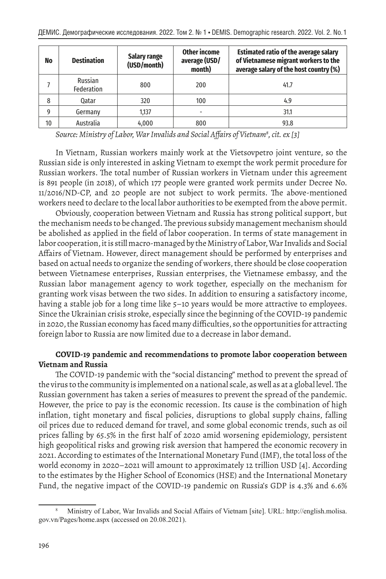| No | <b>Destination</b>    | <b>Salary range</b><br>(USD/month) | <b>Other income</b><br>average (USD/<br>month) | <b>Estimated ratio of the average salary</b><br>of Vietnamese migrant workers to the<br>average salary of the host country (%) |
|----|-----------------------|------------------------------------|------------------------------------------------|--------------------------------------------------------------------------------------------------------------------------------|
|    | Russian<br>Federation | 800                                | 200                                            | 41.7                                                                                                                           |
| 8  | 0atar                 | 320                                | 100                                            | 4.9                                                                                                                            |
| 9  | Germany               | 1.137                              | -                                              | 31.1                                                                                                                           |
| 10 | Australia             | 4,000                              | 800                                            | 93.8                                                                                                                           |

*Source: Ministry of Labor, War Invalids and Social Affairs of Vietnam<sup>8</sup> , cit. ex [3]*

In Vietnam, Russian workers mainly work at the Vietsovpetro joint venture, so the Russian side is only interested in asking Vietnam to exempt the work permit procedure for Russian workers. The total number of Russian workers in Vietnam under this agreement is 891 people (in 2018), of which 177 people were granted work permits under Decree No. 11/2016/ND-CP, and 20 people are not subject to work permits. The above-mentioned workers need to declare to the local labor authorities to be exempted from the above permit.

Obviously, cooperation between Vietnam and Russia has strong political support, but the mechanism needs to be changed. The previous subsidy management mechanism should be abolished as applied in the field of labor cooperation. In terms of state management in labor cooperation, it is still macro-managed by the Ministry of Labor, War Invalids and Social Affairs of Vietnam. However, direct management should be performed by enterprises and based on actual needs to organize the sending of workers, there should be close cooperation between Vietnamese enterprises, Russian enterprises, the Vietnamese embassy, and the Russian labor management agency to work together, especially on the mechanism for granting work visas between the two sides. In addition to ensuring a satisfactory income, having a stable job for a long time like 5–10 years would be more attractive to employees. Since the Ukrainian crisis stroke, especially since the beginning of the COVID-19 pandemic in 2020, the Russian economy has faced many difficulties, so the opportunities for attracting foreign labor to Russia are now limited due to a decrease in labor demand.

## **COVID-19 pandemic and recommendations to promote labor cooperation between Vietnam and Russia**

The COVID-19 pandemic with the "social distancing" method to prevent the spread of the virus to the community is implemented on a national scale, as well as at a global level. The Russian government has taken a series of measures to prevent the spread of the pandemic. However, the price to pay is the economic recession. Its cause is the combination of high inflation, tight monetary and fiscal policies, disruptions to global supply chains, falling oil prices due to reduced demand for travel, and some global economic trends, such as oil prices falling by 65.5% in the first half of 2020 amid worsening epidemiology, persistent high geopolitical risks and growing risk aversion that hampered the economic recovery in 2021. According to estimates of the International Monetary Fund (IMF), the total loss of the world economy in 2020–2021 will amount to approximately 12 trillion USD [4]. According to the estimates by the Higher School of Economics (HSE) and the International Monetary Fund, the negative impact of the COVID-19 pandemic on Russia's GDP is 4.3% and 6.6%

<sup>8</sup> Ministry of Labor, War Invalids and Social Affairs of Vietnam [site]. URL: http://english.molisa. gov.vn/Pages/home.aspx (accessed on 20.08.2021).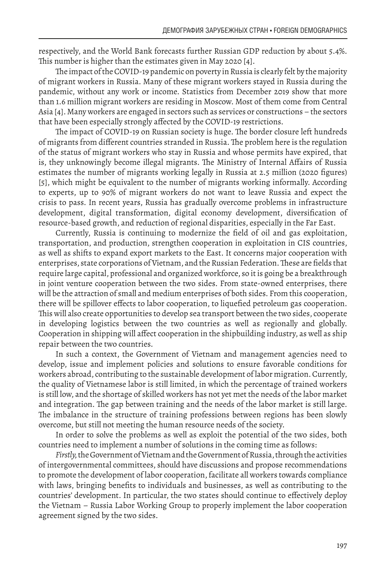respectively, and the World Bank forecasts further Russian GDP reduction by about 5.4%. This number is higher than the estimates given in May 2020 [4].

The impact of the COVID-19 pandemic on poverty in Russia is clearly felt by the majority of migrant workers in Russia. Many of these migrant workers stayed in Russia during the pandemic, without any work or income. Statistics from December 2019 show that more than 1.6 million migrant workers are residing in Moscow. Most of them come from Central Asia [4]. Many workers are engaged in sectors such as services or constructions – the sectors that have been especially strongly affected by the COVID-19 restrictions.

The impact of COVID-19 on Russian society is huge. The border closure left hundreds of migrants from different countries stranded in Russia. The problem here is the regulation of the status of migrant workers who stay in Russia and whose permits have expired, that is, they unknowingly become illegal migrants. The Ministry of Internal Affairs of Russia estimates the number of migrants working legally in Russia at 2.5 million (2020 figures) [5], which might be equivalent to the number of migrants working informally. According to experts, up to 90% of migrant workers do not want to leave Russia and expect the crisis to pass. In recent years, Russia has gradually overcome problems in infrastructure development, digital transformation, digital economy development, diversification of resource-based growth, and reduction of regional disparities, especially in the Far East.

Currently, Russia is continuing to modernize the field of oil and gas exploitation, transportation, and production, strengthen cooperation in exploitation in CIS countries, as well as shifts to expand export markets to the East. It concerns major cooperation with enterprises, state corporations of Vietnam, and the Russian Federation. These are fields that require large capital, professional and organized workforce, so it is going be a breakthrough in joint venture cooperation between the two sides. From state-owned enterprises, there will be the attraction of small and medium enterprises of both sides. From this cooperation, there will be spillover effects to labor cooperation, to liquefied petroleum gas cooperation. This will also create opportunities to develop sea transport between the two sides, cooperate in developing logistics between the two countries as well as regionally and globally. Cooperation in shipping will affect cooperation in the shipbuilding industry, as well as ship repair between the two countries.

In such a context, the Government of Vietnam and management agencies need to develop, issue and implement policies and solutions to ensure favorable conditions for workers abroad, contributing to the sustainable development of labor migration. Currently, the quality of Vietnamese labor is still limited, in which the percentage of trained workers is still low, and the shortage of skilled workers has not yet met the needs of the labor market and integration. The gap between training and the needs of the labor market is still large. The imbalance in the structure of training professions between regions has been slowly overcome, but still not meeting the human resource needs of the society.

In order to solve the problems as well as exploit the potential of the two sides, both countries need to implement a number of solutions in the coming time as follows:

*Firstly,* the Government of Vietnam and the Government of Russia, through the activities of intergovernmental committees, should have discussions and propose recommendations to promote the development of labor cooperation, facilitate all workers towards compliance with laws, bringing benefits to individuals and businesses, as well as contributing to the countries' development. In particular, the two states should continue to effectively deploy the Vietnam – Russia Labor Working Group to properly implement the labor cooperation agreement signed by the two sides.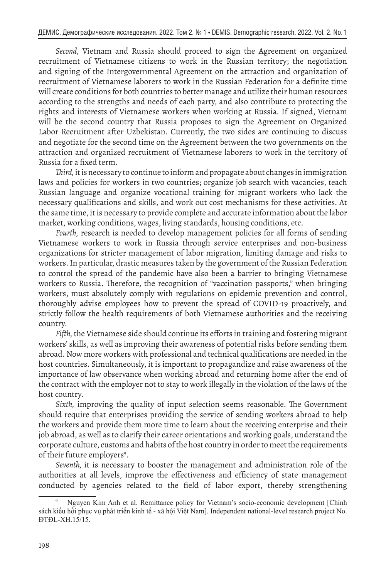*Second,* Vietnam and Russia should proceed to sign the Agreement on organized recruitment of Vietnamese citizens to work in the Russian territory; the negotiation and signing of the Intergovernmental Agreement on the attraction and organization of recruitment of Vietnamese laborers to work in the Russian Federation for a definite time will create conditions for both countries to better manage and utilize their human resources according to the strengths and needs of each party, and also contribute to protecting the rights and interests of Vietnamese workers when working at Russia. If signed, Vietnam will be the second country that Russia proposes to sign the Agreement on Organized Labor Recruitment after Uzbekistan. Currently, the two sides are continuing to discuss and negotiate for the second time on the Agreement between the two governments on the attraction and organized recruitment of Vietnamese laborers to work in the territory of Russia for a fixed term.

*Third,* it is necessary to continue to inform and propagate about changes in immigration laws and policies for workers in two countries; organize job search with vacancies, teach Russian language and organize vocational training for migrant workers who lack the necessary qualifications and skills, and work out cost mechanisms for these activities. At the same time, it is necessary to provide complete and accurate information about the labor market, working conditions, wages, living standards, housing conditions, etc.

*Fourth,* research is needed to develop management policies for all forms of sending Vietnamese workers to work in Russia through service enterprises and non-business organizations for stricter management of labor migration, limiting damage and risks to workers. In particular, drastic measures taken by the government of the Russian Federation to control the spread of the pandemic have also been a barrier to bringing Vietnamese workers to Russia. Therefore, the recognition of "vaccination passports," when bringing workers, must absolutely comply with regulations on epidemic prevention and control, thoroughly advise employees how to prevent the spread of COVID-19 proactively, and strictly follow the health requirements of both Vietnamese authorities and the receiving country.

*Fifth,* the Vietnamese side should continue its efforts in training and fostering migrant workers' skills, as well as improving their awareness of potential risks before sending them abroad. Now more workers with professional and technical qualifications are needed in the host countries. Simultaneously, it is important to propagandize and raise awareness of the importance of law observance when working abroad and returning home after the end of the contract with the employer not to stay to work illegally in the violation of the laws of the host country.

*Sixth,* improving the quality of input selection seems reasonable. The Government should require that enterprises providing the service of sending workers abroad to help the workers and provide them more time to learn about the receiving enterprise and their job abroad, as well as to clarify their career orientations and working goals, understand the corporate culture, customs and habits of the host country in order to meet the requirements of their future employers<sup>9</sup>.

*Seventh,* it is necessary to booster the management and administration role of the authorities at all levels, improve the effectiveness and efficiency of state management conducted by agencies related to the field of labor export, thereby strengthening

<sup>9</sup> Nguyen Kim Anh et al. Remittance policy for Vietnam's socio-economic development [Chính sách kiều hối phục vụ phát triển kinh tế - xã hội Việt Nam]. Independent national-level research project No. ĐTĐL-XH.15/15.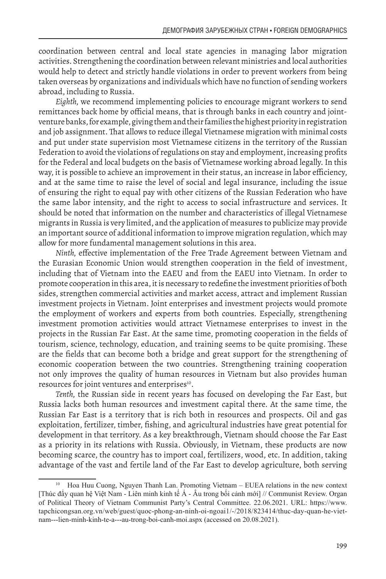coordination between central and local state agencies in managing labor migration activities. Strengthening the coordination between relevant ministries and local authorities would help to detect and strictly handle violations in order to prevent workers from being taken overseas by organizations and individuals which have no function of sending workers abroad, including to Russia.

*Eighth,* we recommend implementing policies to encourage migrant workers to send remittances back home by official means, that is through banks in each country and jointventure banks, for example, giving them and their families the highest priority in registration and job assignment. That allows to reduce illegal Vietnamese migration with minimal costs and put under state supervision most Vietnamese citizens in the territory of the Russian Federation to avoid the violations of regulations on stay and employment, increasing profits for the Federal and local budgets on the basis of Vietnamese working abroad legally. In this way, it is possible to achieve an improvement in their status, an increase in labor efficiency, and at the same time to raise the level of social and legal insurance, including the issue of ensuring the right to equal pay with other citizens of the Russian Federation who have the same labor intensity, and the right to access to social infrastructure and services. It should be noted that information on the number and characteristics of illegal Vietnamese migrants in Russia is very limited, and the application of measures to publicize may provide an important source of additional information to improve migration regulation, which may allow for more fundamental management solutions in this area.

*Ninth,* effective implementation of the Free Trade Agreement between Vietnam and the Eurasian Economic Union would strengthen cooperation in the field of investment, including that of Vietnam into the EAEU and from the EAEU into Vietnam. In order to promote cooperation in this area, it is necessary to redefine the investment priorities of both sides, strengthen commercial activities and market access, attract and implement Russian investment projects in Vietnam. Joint enterprises and investment projects would promote the employment of workers and experts from both countries. Especially, strengthening investment promotion activities would attract Vietnamese enterprises to invest in the projects in the Russian Far East. At the same time, promoting cooperation in the fields of tourism, science, technology, education, and training seems to be quite promising. These are the fields that can become both a bridge and great support for the strengthening of economic cooperation between the two countries. Strengthening training cooperation not only improves the quality of human resources in Vietnam but also provides human resources for joint ventures and enterprises<sup>10</sup>.

*Tenth,* the Russian side in recent years has focused on developing the Far East, but Russia lacks both human resources and investment capital there. At the same time, the Russian Far East is a territory that is rich both in resources and prospects. Oil and gas exploitation, fertilizer, timber, fishing, and agricultural industries have great potential for development in that territory. As a key breakthrough, Vietnam should choose the Far East as a priority in its relations with Russia. Obviously, in Vietnam, these products are now becoming scarce, the country has to import coal, fertilizers, wood, etc. In addition, taking advantage of the vast and fertile land of the Far East to develop agriculture, both serving

<sup>10</sup> Hoa Huu Cuong, Nguyen Thanh Lan. Promoting Vietnam – EUEA relations in the new context [Thúc đẩy quan hệ Việt Nam - Liên minh kinh tế Á - Âu trong bối cảnh mới] // Communist Review. Organ of Political Theory of Vietnam Communist Party's Central Committee. 22.06.2021. URL: https://www. tapchicongsan.org.vn/web/guest/quoc-phong-an-ninh-oi-ngoai1/-/2018/823414/thuc-day-quan-he-vietnam---lien-minh-kinh-te-a---au-trong-boi-canh-moi.aspx (accessed on 20.08.2021).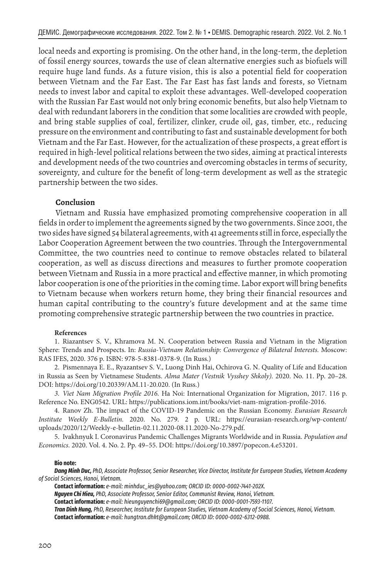local needs and exporting is promising. On the other hand, in the long-term, the depletion of fossil energy sources, towards the use of clean alternative energies such as biofuels will require huge land funds. As a future vision, this is also a potential field for cooperation between Vietnam and the Far East. The Far East has fast lands and forests, so Vietnam needs to invest labor and capital to exploit these advantages. Well-developed cooperation with the Russian Far East would not only bring economic benefits, but also help Vietnam to deal with redundant laborers in the condition that some localities are crowded with people, and bring stable supplies of coal, fertilizer, clinker, crude oil, gas, timber, etc., reducing pressure on the environment and contributing to fast and sustainable development for both Vietnam and the Far East. However, for the actualization of these prospects, a great effort is required in high-level political relations between the two sides, aiming at practical interests and development needs of the two countries and overcoming obstacles in terms of security, sovereignty, and culture for the benefit of long-term development as well as the strategic partnership between the two sides.

#### **Conclusion**

Vietnam and Russia have emphasized promoting comprehensive cooperation in all fields in order to implement the agreements signed by the two governments. Since 2001, the two sides have signed 54 bilateral agreements, with 41 agreements still in force, especially the Labor Cooperation Agreement between the two countries. Through the Intergovernmental Committee, the two countries need to continue to remove obstacles related to bilateral cooperation, as well as discuss directions and measures to further promote cooperation between Vietnam and Russia in a more practical and effective manner, in which promoting labor cooperation is one of the priorities in the coming time. Labor export will bring benefits to Vietnam because when workers return home, they bring their financial resources and human capital contributing to the country's future development and at the same time promoting comprehensive strategic partnership between the two countries in practice.

#### **References**

1. Riazantsev S. V., Khramova M. N. Cooperation between Russia and Vietnam in the Migration Sphere: Trends and Prospects. In: *Russia-Vietnam Relationship: Convergence of Bilateral Interests.* Moscow: RAS IFES, 2020. 376 p. ISBN: 978-5-8381-0378-9. (In Russ.)

2. Pismennaya E. E., Ryazantsev S. V., Luong Dinh Hai, Ochirova G. N. Quality of Life and Education in Russia as Seen by Vietnamese Students. *Alma Mater (Vestnik Vysshey Shkoly).* 2020. No. 11. Pp. 20–28. DOI: https://doi.org/10.20339/AM.11-20.020. (In Russ.)

*3. Viet Nam Migration Profile 2016.* Ha Noi: International Organization for Migration, 2017. 116 p. Reference No. ENG0542. URL: https://publications.iom.int/books/viet-nam-migration-profile-2016.

4. Ranov Zh. The impact of the COVID-19 Pandemic on the Russian Economy. *Eurasian Research Institute Weekly E-Bulletin.* 2020. No. 279. 2 p. URL: https://eurasian-research.org/wp-content/ uploads/2020/12/Weekly-e-bulletin-02.11.2020-08.11.2020-No-279.pdf.

5. Ivakhnyuk I. Coronavirus Pandemic Challenges Migrants Worldwide and in Russia. *Population and Economics.* 2020. Vol. 4. No. 2. Pp. 49–55. DOI: https://doi.org/10.3897/popecon.4.e53201.

#### **Bio note:**

*Dang Minh Duc, PhD, Associate Professor, Senior Researcher, Vice Director, Institute for European Studies, Vietnam Academy of Social Sciences, Hanoi, Vietnam.*

**Contact information:** *e-mail: minhduc\_ies@yahoo.com; ORCID ID: 0000-0002-7441-202X.*

*Nguyen Chi Hieu, PhD, Associate Professor, Senior Editor, Communist Review, Hanoi, Vietnam.*

**Contact information:** *e-mail: hieunguyenchi69@gmail.com; ORCID ID: 0000-0001-7593-1107.*

*Tran Dinh Hung, PhD, Researcher, Institute for European Studies, Vietnam Academy of Social Sciences, Hanoi, Vietnam.* **Contact information:** *e-mail: hungtran.dhkt@gmail.com; ORCID ID: 0000-0002-6312-0988.*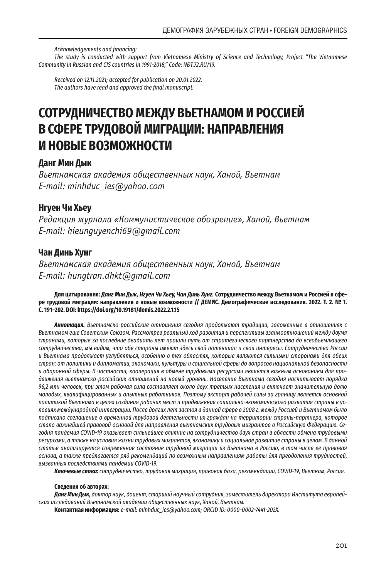*Acknowledgements and financing:*

*The study is conducted with support from Vietnamese Ministry of Science and Technology, Project "The Vietnamese Community in Russian and CIS countries in 1991-2018," Code: NĐT.72.RU/19.*

*Received on 12.11.2021; accepted for publication on 20.01.2022. The authors have read and approved the final manuscript.*

# **СОТРУДНИЧЕСТВО МЕЖДУ ВЬЕТНАМОМ И РОССИЕЙ В СФЕРЕ ТРУДОВОЙ МИГРАЦИИ: НАПРАВЛЕНИЯ И НОВЫЕ ВОЗМОЖНОСТИ**

## **Данг Мин Дык**

*Вьетнамская академия общественных наук, Ханой, Вьетнам E-mail: minhduc\_ies@yahoo.com*

# **Нгуен Чи Хьеу**

*Редакция журнала «Коммунистическое обозрение», Ханой, Вьетнам E-mail: hieunguyenchi69@gmail.com*

# **Чан Динь Хунг**

*Вьетнамская академия общественных наук, Ханой, Вьетнам E-mail: hungtran.dhkt@gmail.com*

#### **Для цитирования:** *Данг Мин Дык, Нгуен Чи Хьеу, Чан Динь Хунг.* **Сотрудничество между Вьетнамом и Россией в сфере трудовой миграции: направления и новые возможности // ДЕМИС. Демографические исследования. 2022. Т. 2. № 1. С. 191–202. DOI: https://doi.org/10.19181/demis.2022.2.1.15**

*Аннотация. Вьетнамско-российские отношения сегодня продолжают традиции, заложенные в отношениях с Вьетнамом еще Советским Союзом. Рассмотрев реальный ход развития и перспективы взаимоотношений между двумя странами, которые за последние двадцать лет прошли путь от стратегического партнерства до всеобъемлющего сотрудничества, мы видим, что обе стороны имеют здесь свой потенциал и свои интересы. Сотрудничество России и Вьетнама продолжает углубляться, особенно в тех областях, которые являются сильными сторонами для обеих стран: от политики и дипломатии, экономики, культуры и социальной сферы до вопросов национальной безопасности и оборонной сферы. В частности, кооперация в обмене трудовыми ресурсами является важным основанием для продвижения вьетнамско-российских отношений на новый уровень. Население Вьетнама сегодня насчитывает порядка 96,2 млн человек, при этом рабочая сила составляет около двух третьих населения и включает значительную долю молодых, квалифицированных и опытных работников. Поэтому экспорт рабочей силы за границу является основной политикой Вьетнама в целях создания рабочих мест и продвижения социально-экономического развития страны в условиях международной интеграции. После долгих лет застоя в данной сфере в 2008 г. между Россией и Вьетнамом было подписано соглашение о временной трудовой деятельности их граждан на территории страны-партнера, которое стало важнейшей правовой основой для направления вьетнамских трудовых мигрантов в Российскую Федерацию. Сегодня пандемия COVID-19 оказывает сильнейшее влияние на сотрудничество двух стран в области обмена трудовыми ресурсами, а также на условия жизни трудовых мигрантов, экономику и социальное развитие страны в целом. В данной статье анализируется современное состояние трудовой миграции из Вьетнама в Россию, в том числе ее правовая основа, а также предлагается ряд рекомендаций по возможным направлениям работы для преодоления трудностей, вызванных последствиями пандемии COVID-19.* 

*Ключевые слова: сотрудничество, трудовая миграция, правовая база, рекомендации, COVID-19, Вьетнам, Россия.*

#### **Сведения об авторах:**

*Данг Мин Дык, доктор наук, доцент, старший научный сотрудник, заместитель директора Института европейских исследований Вьетнамской академии общественных наук, Ханой, Вьетнам.* 

**Контактная информация:** *e-mail: minhduc\_ies@yahoo.com; ORCID ID: 0000-0002-7441-202X.*